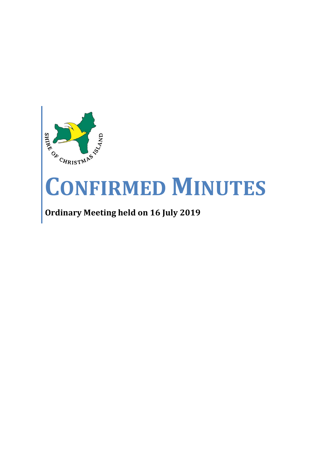

# **CONFIRMED MINUTES**

# **Ordinary Meeting held on 16 July 2019**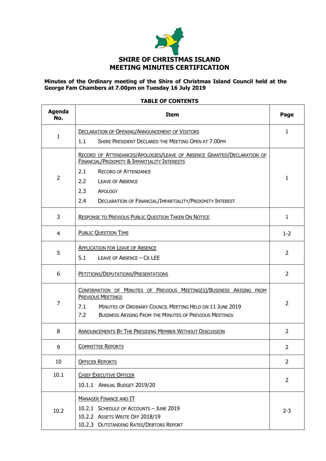

#### **Minutes of the Ordinary meeting of the Shire of Christmas Island Council held at the George Fam Chambers at 7.00pm on Tuesday 16 July 2019**

#### **TABLE OF CONTENTS**

| <b>Agenda</b><br>No. | <b>Item</b>                                                                                                                                                                                                                          |                |  |
|----------------------|--------------------------------------------------------------------------------------------------------------------------------------------------------------------------------------------------------------------------------------|----------------|--|
|                      | <b>DECLARATION OF OPENING/ANNOUNCEMENT OF VISITORS</b>                                                                                                                                                                               | $\mathbf{1}$   |  |
| 1                    | 1.1<br>SHIRE PRESIDENT DECLARED THE MEETING OPEN AT 7.00PM                                                                                                                                                                           |                |  |
|                      | RECORD OF ATTENDANCES/APOLOGIES/LEAVE OF ABSENCE GRANTED/DECLARATION OF<br>FINANCIAL/PROXIMITY & IMPARTIALITY INTERESTS                                                                                                              |                |  |
| $\overline{2}$       | 2.1<br><b>RECORD OF ATTENDANCE</b>                                                                                                                                                                                                   | 1              |  |
|                      | 2.2<br><b>LEAVE OF ABSENCE</b>                                                                                                                                                                                                       |                |  |
|                      | 2.3<br>APOLOGY                                                                                                                                                                                                                       |                |  |
|                      | 2.4<br>DECLARATION OF FINANCIAL/IMPARTIALITY/PROXIMITY INTEREST                                                                                                                                                                      |                |  |
| 3                    | <b>RESPONSE TO PREVIOUS PUBLIC QUESTION TAKEN ON NOTICE</b>                                                                                                                                                                          | $\mathbf{1}$   |  |
| 4                    | <b>PUBLIC QUESTION TIME</b>                                                                                                                                                                                                          | $1 - 2$        |  |
| 5                    | <b>APPLICATION FOR LEAVE OF ABSENCE</b><br>5.1<br>LEAVE OF ABSENCE - CR LEE                                                                                                                                                          | $\overline{2}$ |  |
| 6                    | PETITIONS/DEPUTATIONS/PRESENTATIONS                                                                                                                                                                                                  | $\overline{2}$ |  |
| 7                    | CONFIRMATION OF MINUTES OF PREVIOUS MEETING(S)/BUSINESS ARISING FROM<br>PREVIOUS MEETINGS<br>7.1<br>MINUTES OF ORDINARY COUNCIL MEETING HELD ON 11 JUNE 2019<br>7.2<br><b>BUSINESS ARISING FROM THE MINUTES OF PREVIOUS MEETINGS</b> |                |  |
| 8                    | ANNOUNCEMENTS BY THE PRESIDING MEMBER WITHOUT DISCUSSION                                                                                                                                                                             | $\overline{2}$ |  |
| 9                    | <b>COMMITTEE REPORTS</b>                                                                                                                                                                                                             | 2              |  |
| 10                   | <b>OFFICER REPORTS</b>                                                                                                                                                                                                               | 2              |  |
| 10.1                 | <b>CHIEF EXECUTIVE OFFICER</b><br>10.1.1 ANNUAL BUDGET 2019/20                                                                                                                                                                       | 2              |  |
| 10.2                 | <b>MANAGER FINANCE AND IT</b><br>10.2.1 SCHEDULE OF ACCOUNTS - JUNE 2019<br>10.2.2 ASSETS WRITE OFF 2018/19<br>10.2.3 OUTSTANDING RATES/DEBTORS REPORT                                                                               | $2 - 3$        |  |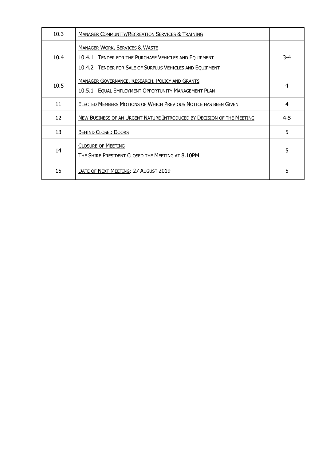| 10.3 | <b>MANAGER COMMUNITY/RECREATION SERVICES &amp; TRAINING</b>                                                                                                    |         |
|------|----------------------------------------------------------------------------------------------------------------------------------------------------------------|---------|
| 10.4 | <b>MANAGER WORK, SERVICES &amp; WASTE</b><br>10.4.1 TENDER FOR THE PURCHASE VEHICLES AND EQUIPMENT<br>10.4.2 TENDER FOR SALE OF SURPLUS VEHICLES AND EQUIPMENT | $3 - 4$ |
| 10.5 | <b>MANAGER GOVERNANCE, RESEARCH, POLICY AND GRANTS</b><br>10.5.1 EQUAL EMPLOYMENT OPPORTUNITY MANAGEMENT PLAN                                                  | 4       |
| 11   | ELECTED MEMBERS MOTIONS OF WHICH PREVIOUS NOTICE HAS BEEN GIVEN                                                                                                | 4       |
| 12   | NEW BUSINESS OF AN URGENT NATURE INTRODUCED BY DECISION OF THE MEETING                                                                                         | $4 - 5$ |
| 13   | <b>BEHIND CLOSED DOORS</b>                                                                                                                                     | 5       |
| 14   | <b>CLOSURE OF MEETING</b><br>THE SHIRE PRESIDENT CLOSED THE MEETING AT 8.10PM                                                                                  | 5       |
| 15   | DATE OF NEXT MEETING: 27 AUGUST 2019                                                                                                                           | 5       |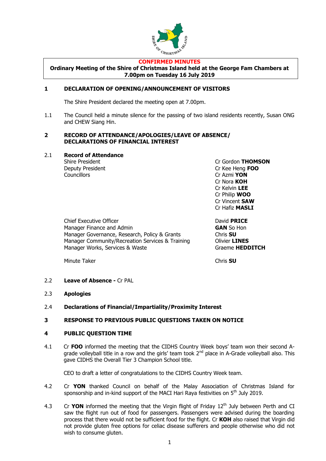

#### **CONFIRMED MINUTES**

**Ordinary Meeting of the Shire of Christmas Island held at the George Fam Chambers at 7.00pm on Tuesday 16 July 2019**

#### **1 DECLARATION OF OPENING/ANNOUNCEMENT OF VISITORS**

The Shire President declared the meeting open at 7.00pm.

1.1 The Council held a minute silence for the passing of two island residents recently, Susan ONG and CHEW Siang Hin.

#### **2 RECORD OF ATTENDANCE/APOLOGIES/LEAVE OF ABSENCE/ DECLARATIONS OF FINANCIAL INTEREST**

#### 2.1 **Record of Attendance**

Councillors Cr Azmi **YON**

Shire President Cr Gordon **THOMSON** Deputy President Cr Kee Heng **FOO** Cr Nora **KOH** Cr Kelvin **LEE** Cr Philip **WOO** Cr Vincent **SAW** Cr Hafiz **MASLI**

Chief Executive Officer David **PRICE** Manager Finance and Admin **GAN** So Hon Manager Governance, Research, Policy & Grants Chris **SU** Manager Community/Recreation Services & Training Olivier **LINES** Manager Works, Services & Waste Graeme **HEDDITCH** 

Minute Taker **Chris SU** 

2.2 **Leave of Absence -** Cr PAL

- 2.3 **Apologies**
- 2.4 **Declarations of Financial/Impartiality/Proximity Interest**

#### **3 RESPONSE TO PREVIOUS PUBLIC QUESTIONS TAKEN ON NOTICE**

#### **4 PUBLIC QUESTION TIME**

4.1 Cr **FOO** informed the meeting that the CIDHS Country Week boys' team won their second Agrade volleyball title in a row and the girls' team took 2<sup>nd</sup> place in A-Grade volleyball also. This gave CIDHS the Overall Tier 3 Champion School title.

CEO to draft a letter of congratulations to the CIDHS Country Week team.

- 4.2 Cr **YON** thanked Council on behalf of the Malay Association of Christmas Island for sponsorship and in-kind support of the MACI Hari Rava festivities on  $5<sup>th</sup>$  July 2019.
- 4.3 Cr YON informed the meeting that the Virgin flight of Friday 12<sup>th</sup> July between Perth and CI saw the flight run out of food for passengers. Passengers were advised during the boarding process that there would not be sufficient food for the flight. Cr **KOH** also raised that Virgin did not provide gluten free options for celiac disease sufferers and people otherwise who did not wish to consume gluten.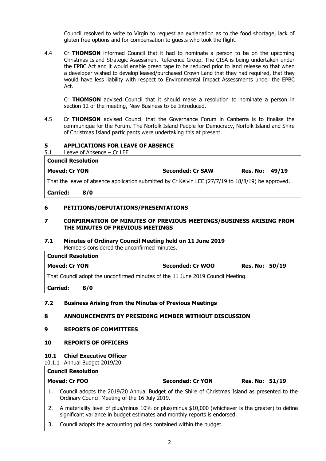Council resolved to write to Virgin to request an explanation as to the food shortage, lack of gluten free options and for compensation to guests who took the flight.

4.4 Cr **THOMSON** informed Council that it had to nominate a person to be on the upcoming Christmas Island Strategic Assessment Reference Group. The CISA is being undertaken under the EPBC Act and it would enable green tape to be reduced prior to land release so that when a developer wished to develop leased/purchased Crown Land that they had required, that they would have less liability with respect to Environmental Impact Assessments under the EPBC Act.

Cr **THOMSON** advised Council that it should make a resolution to nominate a person in section 12 of the meeting, New Business to be Introduced.

4.5 Cr **THOMSON** advised Council that the Governance Forum in Canberra is to finalise the communique for the Forum. The Norfolk Island People for Democracy, Norfolk Island and Shire of Christmas Island participants were undertaking this at present.

#### **5 APPLICATIONS FOR LEAVE OF ABSENCE**

5.1 Leave of Absence – Cr LEE

| <b>Council Resolution</b> |                         |                |  |
|---------------------------|-------------------------|----------------|--|
| <b>Moved: Cr YON</b>      | <b>Seconded: Cr SAW</b> | Res. No: 49/19 |  |

That the leave of absence application submitted by Cr Kelvin LEE (27/7/19 to 18/8/19) be approved.

**Carried: 8/0**

#### **6 PETITIONS/DEPUTATIONS/PRESENTATIONS**

#### **7 CONFIRMATION OF MINUTES OF PREVIOUS MEETINGS/BUSINESS ARISING FROM THE MINUTES OF PREVIOUS MEETINGS**

#### **7.1 Minutes of Ordinary Council Meeting held on 11 June 2019** Members considered the unconfirmed minutes.

| <b>Council Resolution</b>                                                       |                  |                       |  |  |
|---------------------------------------------------------------------------------|------------------|-----------------------|--|--|
| <b>Moved: Cr YON</b>                                                            | Seconded: Cr WOO | <b>Res. No: 50/19</b> |  |  |
| That Council adopt the unconfirmed minutes of the 11 June 2019 Council Meeting. |                  |                       |  |  |
|                                                                                 |                  |                       |  |  |

**Carried: 8/0**

#### **7.2 Business Arising from the Minutes of Previous Meetings**

#### **8 ANNOUNCEMENTS BY PRESIDING MEMBER WITHOUT DISCUSSION**

### **9 REPORTS OF COMMITTEES**

#### **10 REPORTS OF OFFICERS**

#### **10.1 Chief Executive Officer**

#### 10.1.1 Annual Budget 2019/20

#### **Council Resolution**

| Moved: Cr FOO | <b>Seco</b> |
|---------------|-------------|
|               |             |

**Moved: Cr FOO Seconded: Cr YON Res. No: 51/19**

- 1. Council adopts the 2019/20 Annual Budget of the Shire of Christmas Island as presented to the Ordinary Council Meeting of the 16 July 2019.
- 2. A materiality level of plus/minus 10% or plus/minus \$10,000 (whichever is the greater) to define significant variance in budget estimates and monthly reports is endorsed.
- 3. Council adopts the accounting policies contained within the budget.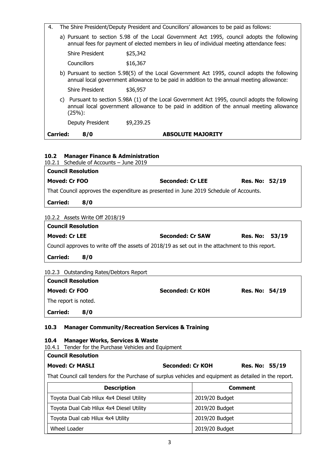- 4. The Shire President/Deputy President and Councillors' allowances to be paid as follows:
	- a) Pursuant to section 5.98 of the Local Government Act 1995, council adopts the following annual fees for payment of elected members in lieu of individual meeting attendance fees:

| Shire President | \$25,342 |
|-----------------|----------|
| Councillors     | \$16,367 |

b) Pursuant to section 5.98(5) of the Local Government Act 1995, council adopts the following annual local government allowance to be paid in addition to the annual meeting allowance:

Shire President \$36.957

c) Pursuant to section 5.98A (1) of the Local Government Act 1995, council adopts the following annual local government allowance to be paid in addition of the annual meeting allowance (25%):

Deputy President \$9,239.25

#### **Carried: 8/0 ABSOLUTE MAJORITY**

#### **10.2 Manager Finance & Administration**

10.2.1 Schedule of Accounts – June 2019

| <b>Council Resolution</b>                                                             |     |                         |                       |  |  |
|---------------------------------------------------------------------------------------|-----|-------------------------|-----------------------|--|--|
| Moved: Cr FOO                                                                         |     | <b>Seconded: Cr LEE</b> | <b>Res. No: 52/19</b> |  |  |
| That Council approves the expenditure as presented in June 2019 Schedule of Accounts. |     |                         |                       |  |  |
| <b>Carried:</b>                                                                       | 8/0 |                         |                       |  |  |
|                                                                                       |     |                         |                       |  |  |

#### 10.2.2 Assets Write Off 2018/19

| <b>Council Resolution</b>                                                                        |     |                         |                |  |  |
|--------------------------------------------------------------------------------------------------|-----|-------------------------|----------------|--|--|
| <b>Moved: Cr LEE</b>                                                                             |     | <b>Seconded: Cr SAW</b> | Res. No: 53/19 |  |  |
| Council approves to write off the assets of 2018/19 as set out in the attachment to this report. |     |                         |                |  |  |
| <b>Carried:</b>                                                                                  | 8/0 |                         |                |  |  |

| 10.2.3 Outstanding Rates/Debtors Report |  |
|-----------------------------------------|--|
|-----------------------------------------|--|

| <b>Council Resolution</b> |                  |                       |
|---------------------------|------------------|-----------------------|
| Moved: Cr FOO             | Seconded: Cr KOH | <b>Res. No: 54/19</b> |
| The report is noted.      |                  |                       |
| <b>Carried:</b><br>8/0    |                  |                       |

#### **10.3 Manager Community/Recreation Services & Training**

#### **10.4 Manager Works, Services & Waste**

10.4.1 Tender for the Purchase Vehicles and Equipment

#### **Council Resolution**

#### **Moved: Cr MASLI Seconded: Cr KOH Res. No: 55/19**

That Council call tenders for the Purchase of surplus vehicles and equipment as detailed in the report.

| <b>Description</b>                       | <b>Comment</b> |  |
|------------------------------------------|----------------|--|
| Toyota Dual Cab Hilux 4x4 Diesel Utility | 2019/20 Budget |  |
| Toyota Dual Cab Hilux 4x4 Diesel Utility | 2019/20 Budget |  |
| Toyota Dual cab Hilux 4x4 Utility        | 2019/20 Budget |  |
| Wheel Loader                             | 2019/20 Budget |  |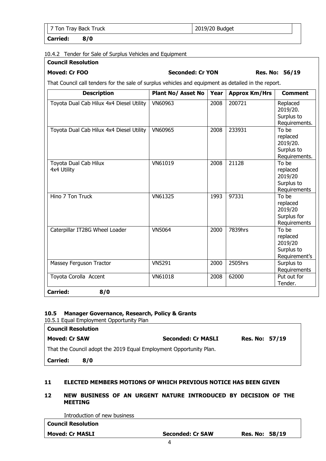7 Ton Tray Back Truck 2019/20 Budget

**Carried: 8/0**

#### 10.4.2 Tender for Sale of Surplus Vehicles and Equipment

# **Council Resolution**

**Moved: Cr FOO Seconded: Cr YON Res. No: 56/19**

That Council call tenders for the sale of surplus vehicles and equipment as detailed in the report.

| <b>Description</b>                       | <b>Plant No/ Asset No</b> | Year | <b>Approx Km/Hrs</b> | <b>Comment</b>                                               |
|------------------------------------------|---------------------------|------|----------------------|--------------------------------------------------------------|
| Toyota Dual Cab Hilux 4x4 Diesel Utility | VN60963                   | 2008 | 200721               | Replaced<br>2019/20.<br>Surplus to<br>Requirements.          |
| Toyota Dual Cab Hilux 4x4 Diesel Utility | VN60965                   | 2008 | 233931               | To be<br>replaced<br>2019/20.<br>Surplus to<br>Requirements. |
| Toyota Dual Cab Hilux<br>4x4 Utility     | VN61019                   | 2008 | 21128                | To be<br>replaced<br>2019/20<br>Surplus to<br>Requirements   |
| Hino 7 Ton Truck                         | VN61325                   | 1993 | 97331                | To be<br>replaced<br>2019/20<br>Surplus for<br>Requirements  |
| Caterpillar IT28G Wheel Loader           | <b>VN5064</b>             | 2000 | 7839hrs              | To be<br>replaced<br>2019/20<br>Surplus to<br>Requirement's  |
| Massey Ferguson Tractor                  | <b>VN5291</b>             | 2000 | 2505hrs              | Surplus to<br>Requirements                                   |
| Toyota Corolla Accent                    | VN61018                   | 2008 | 62000                | Put out for<br>Tender.                                       |
| 8/0<br><b>Carried:</b>                   |                           |      |                      |                                                              |

#### **10.5 Manager Governance, Research, Policy & Grants**

10.5.1 Equal Employment Opportunity Plan

| <b>Council Resolution</b>                                          |     |                           |                       |  |  |
|--------------------------------------------------------------------|-----|---------------------------|-----------------------|--|--|
| <b>Moved: Cr SAW</b>                                               |     | <b>Seconded: Cr MASLI</b> | <b>Res. No: 57/19</b> |  |  |
| That the Council adopt the 2019 Equal Employment Opportunity Plan. |     |                           |                       |  |  |
| <b>Carried:</b>                                                    | 8/0 |                           |                       |  |  |

#### **11 ELECTED MEMBERS MOTIONS OF WHICH PREVIOUS NOTICE HAS BEEN GIVEN**

#### **12 NEW BUSINESS OF AN URGENT NATURE INTRODUCED BY DECISION OF THE MEETING**

Introduction of new business

| <b>Moved: Cr MASLI</b>        | <b>Seconded: Cr SAW</b> | <b>Res. No: 58/19</b> |
|-------------------------------|-------------------------|-----------------------|
| <b>Council Resolution</b>     |                         |                       |
| בנטוווטשט זוכיו יט ווטאס טווב |                         |                       |